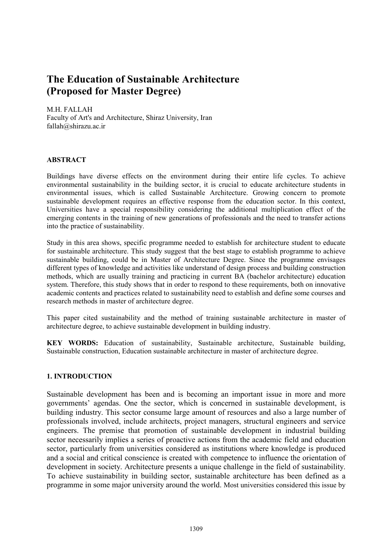# The Education of Sustainable Architecture (Proposed for Master Degree)

M.H. FALLAH Faculty of Art's and Architecture, Shiraz University, Iran fallah@shirazu.ac.ir

## **ABSTRACT**

Buildings have diverse effects on the environment during their entire life cycles. To achieve environmental sustainability in the building sector, it is crucial to educate architecture students in environmental issues, which is called Sustainable Architecture. Growing concern to promote sustainable development requires an effective response from the education sector. In this context, Universities have a special responsibility considering the additional multiplication effect of the emerging contents in the training of new generations of professionals and the need to transfer actions into the practice of sustainability.

Study in this area shows, specific programme needed to establish for architecture student to educate for sustainable architecture. This study suggest that the best stage to establish programme to achieve sustainable building, could be in Master of Architecture Degree. Since the programme envisages different types of knowledge and activities like understand of design process and building construction methods, which are usually training and practicing in current BA (bachelor architecture) education system. Therefore, this study shows that in order to respond to these requirements, both on innovative academic contents and practices related to sustainability need to establish and define some courses and research methods in master of architecture degree.

This paper cited sustainability and the method of training sustainable architecture in master of architecture degree, to achieve sustainable development in building industry.

KEY WORDS: Education of sustainability, Sustainable architecture, Sustainable building, Sustainable construction, Education sustainable architecture in master of architecture degree.

#### 1. INTRODUCTION

Sustainable development has been and is becoming an important issue in more and more governments' agendas. One the sector, which is concerned in sustainable development, is building industry. This sector consume large amount of resources and also a large number of professionals involved, include architects, project managers, structural engineers and service engineers. The premise that promotion of sustainable development in industrial building sector necessarily implies a series of proactive actions from the academic field and education sector, particularly from universities considered as institutions where knowledge is produced and a social and critical conscience is created with competence to influence the orientation of development in society. Architecture presents a unique challenge in the field of sustainability. To achieve sustainability in building sector, sustainable architecture has been defined as a programme in some major university around the world. Most universities considered this issue by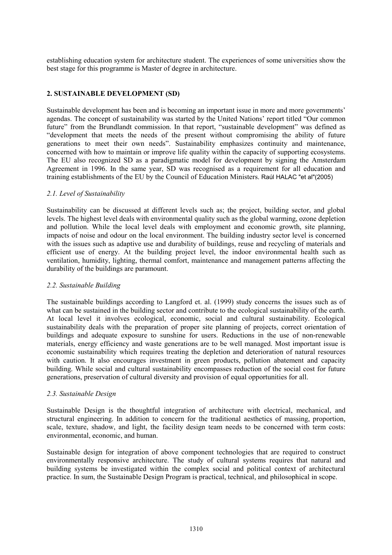establishing education system for architecture student. The experiences of some universities show the best stage for this programme is Master of degree in architecture.

# 2. SUSTAINABLE DEVELOPMENT (SD)

Sustainable development has been and is becoming an important issue in more and more governments' agendas. The concept of sustainability was started by the United Nations' report titled "Our common future" from the Brundlandt commission. In that report, "sustainable development" was defined as "development that meets the needs of the present without compromising the ability of future generations to meet their own needs". Sustainability emphasizes continuity and maintenance, concerned with how to maintain or improve life quality within the capacity of supporting ecosystems. The EU also recognized SD as a paradigmatic model for development by signing the Amsterdam Agreement in 1996. In the same year, SD was recognised as a requirement for all education and training establishments of the EU by the Council of Education Ministers. Raúl HALAC "et al"(2005)

## 2.1. Level of Sustainability

Sustainability can be discussed at different levels such as; the project, building sector, and global levels. The highest level deals with environmental quality such as the global warming, ozone depletion and pollution. While the local level deals with employment and economic growth, site planning, impacts of noise and odour on the local environment. The building industry sector level is concerned with the issues such as adaptive use and durability of buildings, reuse and recycling of materials and efficient use of energy. At the building project level, the indoor environmental health such as ventilation, humidity, lighting, thermal comfort, maintenance and management patterns affecting the durability of the buildings are paramount.

#### 2.2. Sustainable Building

The sustainable buildings according to Langford et. al. (1999) study concerns the issues such as of what can be sustained in the building sector and contribute to the ecological sustainability of the earth. At local level it involves ecological, economic, social and cultural sustainability. Ecological sustainability deals with the preparation of proper site planning of projects, correct orientation of buildings and adequate exposure to sunshine for users. Reductions in the use of non-renewable materials, energy efficiency and waste generations are to be well managed. Most important issue is economic sustainability which requires treating the depletion and deterioration of natural resources with caution. It also encourages investment in green products, pollution abatement and capacity building. While social and cultural sustainability encompasses reduction of the social cost for future generations, preservation of cultural diversity and provision of equal opportunities for all.

#### 2.3. Sustainable Design

Sustainable Design is the thoughtful integration of architecture with electrical, mechanical, and structural engineering. In addition to concern for the traditional aesthetics of massing, proportion, scale, texture, shadow, and light, the facility design team needs to be concerned with term costs: environmental, economic, and human.

Sustainable design for integration of above component technologies that are required to construct environmentally responsive architecture. The study of cultural systems requires that natural and building systems be investigated within the complex social and political context of architectural practice. In sum, the Sustainable Design Program is practical, technical, and philosophical in scope.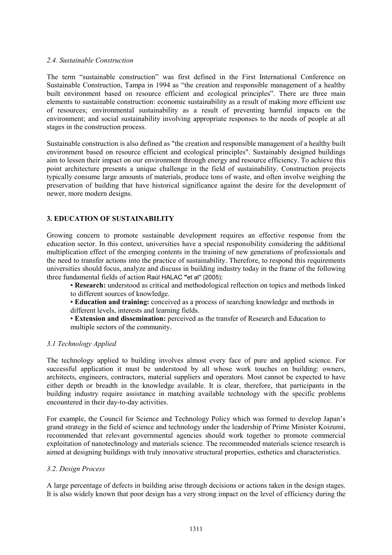#### 2.4. Sustainable Construction

The term "sustainable construction" was first defined in the First International Conference on Sustainable Construction, Tampa in 1994 as "the creation and responsible management of a healthy built environment based on resource efficient and ecological principles". There are three main elements to sustainable construction: economic sustainability as a result of making more efficient use of resources; environmental sustainability as a result of preventing harmful impacts on the environment; and social sustainability involving appropriate responses to the needs of people at all stages in the construction process.

Sustainable construction is also defined as "the creation and responsible management of a healthy built environment based on resource efficient and ecological principles". Sustainably designed buildings aim to lessen their impact on our environment through energy and resource efficiency. To achieve this point architecture presents a unique challenge in the field of sustainability. Construction projects typically consume large amounts of materials, produce tons of waste, and often involve weighing the preservation of building that have historical significance against the desire for the development of newer, more modern designs.

## 3. EDUCATION OF SUSTAINABILITY

Growing concern to promote sustainable development requires an effective response from the education sector. In this context, universities have a special responsibility considering the additional multiplication effect of the emerging contents in the training of new generations of professionals and the need to transfer actions into the practice of sustainability. Therefore, to respond this requirements universities should focus, analyze and discuss in building industry today in the frame of the following three fundamental fields of action Raúl HALAC "et al" (2005):

• Research: understood as critical and methodological reflection on topics and methods linked to different sources of knowledge.

• Education and training: conceived as a process of searching knowledge and methods in different levels, interests and learning fields.

• Extension and dissemination: perceived as the transfer of Research and Education to multiple sectors of the community.

#### 3.1 Technology Applied

The technology applied to building involves almost every face of pure and applied science. For successful application it must be understood by all whose work touches on building: owners, architects, engineers, contractors, material suppliers and operators. Most cannot be expected to have either depth or breadth in the knowledge available. It is clear, therefore, that participants in the building industry require assistance in matching available technology with the specific problems encountered in their day-to-day activities.

For example, the Council for Science and Technology Policy which was formed to develop Japan's grand strategy in the field of science and technology under the leadership of Prime Minister Koizumi, recommended that relevant governmental agencies should work together to promote commercial exploitation of nanotechnology and materials science. The recommended materials science research is aimed at designing buildings with truly innovative structural properties, esthetics and characteristics.

#### 3.2. Design Process

A large percentage of defects in building arise through decisions or actions taken in the design stages. It is also widely known that poor design has a very strong impact on the level of efficiency during the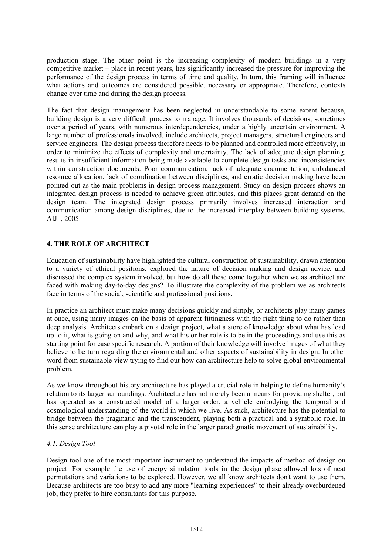production stage. The other point is the increasing complexity of modern buildings in a very competitive market – place in recent years, has significantly increased the pressure for improving the performance of the design process in terms of time and quality. In turn, this framing will influence what actions and outcomes are considered possible, necessary or appropriate. Therefore, contexts change over time and during the design process.

The fact that design management has been neglected in understandable to some extent because, building design is a very difficult process to manage. It involves thousands of decisions, sometimes over a period of years, with numerous interdependencies, under a highly uncertain environment. A large number of professionals involved, include architects, project managers, structural engineers and service engineers. The design process therefore needs to be planned and controlled more effectively, in order to minimize the effects of complexity and uncertainty. The lack of adequate design planning, results in insufficient information being made available to complete design tasks and inconsistencies within construction documents. Poor communication, lack of adequate documentation, unbalanced resource allocation, lack of coordination between disciplines, and erratic decision making have been pointed out as the main problems in design process management. Study on design process shows an integrated design process is needed to achieve green attributes, and this places great demand on the design team. The integrated design process primarily involves increased interaction and communication among design disciplines, due to the increased interplay between building systems. AIJ. , 2005.

# 4. THE ROLE OF ARCHITECT

Education of sustainability have highlighted the cultural construction of sustainability, drawn attention to a variety of ethical positions, explored the nature of decision making and design advice, and discussed the complex system involved, but how do all these come together when we as architect are faced with making day-to-day designs? To illustrate the complexity of the problem we as architects face in terms of the social, scientific and professional positions.

In practice an architect must make many decisions quickly and simply, or architects play many games at once, using many images on the basis of apparent fittingness with the right thing to do rather than deep analysis. Architects embark on a design project, what a store of knowledge about what has load up to it, what is going on and why, and what his or her role is to be in the proceedings and use this as starting point for case specific research. A portion of their knowledge will involve images of what they believe to be turn regarding the environmental and other aspects of sustainability in design. In other word from sustainable view trying to find out how can architecture help to solve global environmental problem.

As we know throughout history architecture has played a crucial role in helping to define humanity's relation to its larger surroundings. Architecture has not merely been a means for providing shelter, but has operated as a constructed model of a larger order, a vehicle embodying the temporal and cosmological understanding of the world in which we live. As such, architecture has the potential to bridge between the pragmatic and the transcendent, playing both a practical and a symbolic role. In this sense architecture can play a pivotal role in the larger paradigmatic movement of sustainability.

#### 4.1. Design Tool

Design tool one of the most important instrument to understand the impacts of method of design on project. For example the use of energy simulation tools in the design phase allowed lots of neat permutations and variations to be explored. However, we all know architects don't want to use them. Because architects are too busy to add any more "learning experiences" to their already overburdened job, they prefer to hire consultants for this purpose.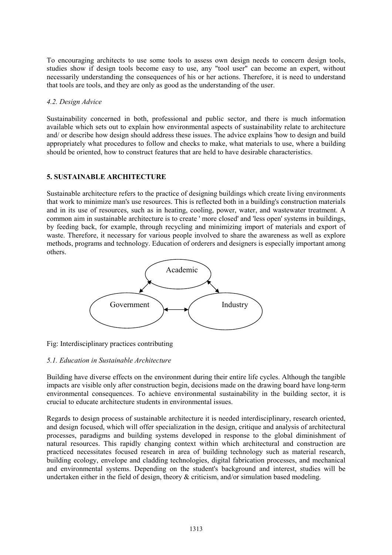To encouraging architects to use some tools to assess own design needs to concern design tools, studies show if design tools become easy to use, any "tool user" can become an expert, without necessarily understanding the consequences of his or her actions. Therefore, it is need to understand that tools are tools, and they are only as good as the understanding of the user.

#### 4.2. Design Advice

Sustainability concerned in both, professional and public sector, and there is much information available which sets out to explain how environmental aspects of sustainability relate to architecture and/ or describe how design should address these issues. The advice explains 'how to design and build appropriately what procedures to follow and checks to make, what materials to use, where a building should be oriented, how to construct features that are held to have desirable characteristics.

# 5. SUSTAINABLE ARCHITECTURE

Sustainable architecture refers to the practice of designing buildings which create living environments that work to minimize man's use resources. This is reflected both in a building's construction materials and in its use of resources, such as in heating, cooling, power, water, and wastewater treatment. A common aim in sustainable architecture is to create ' more closed' and 'less open' systems in buildings, by feeding back, for example, through recycling and minimizing import of materials and export of waste. Therefore, it necessary for various people involved to share the awareness as well as explore methods, programs and technology. Education of orderers and designers is especially important among others.



Fig: Interdisciplinary practices contributing

# 5.1. Education in Sustainable Architecture

Building have diverse effects on the environment during their entire life cycles. Although the tangible impacts are visible only after construction begin, decisions made on the drawing board have long-term environmental consequences. To achieve environmental sustainability in the building sector, it is crucial to educate architecture students in environmental issues.

Regards to design process of sustainable architecture it is needed interdisciplinary, research oriented, and design focused, which will offer specialization in the design, critique and analysis of architectural processes, paradigms and building systems developed in response to the global diminishment of natural resources. This rapidly changing context within which architectural and construction are practiced necessitates focused research in area of building technology such as material research, building ecology, envelope and cladding technologies, digital fabrication processes, and mechanical and environmental systems. Depending on the student's background and interest, studies will be undertaken either in the field of design, theory  $\&$  criticism, and/or simulation based modeling.